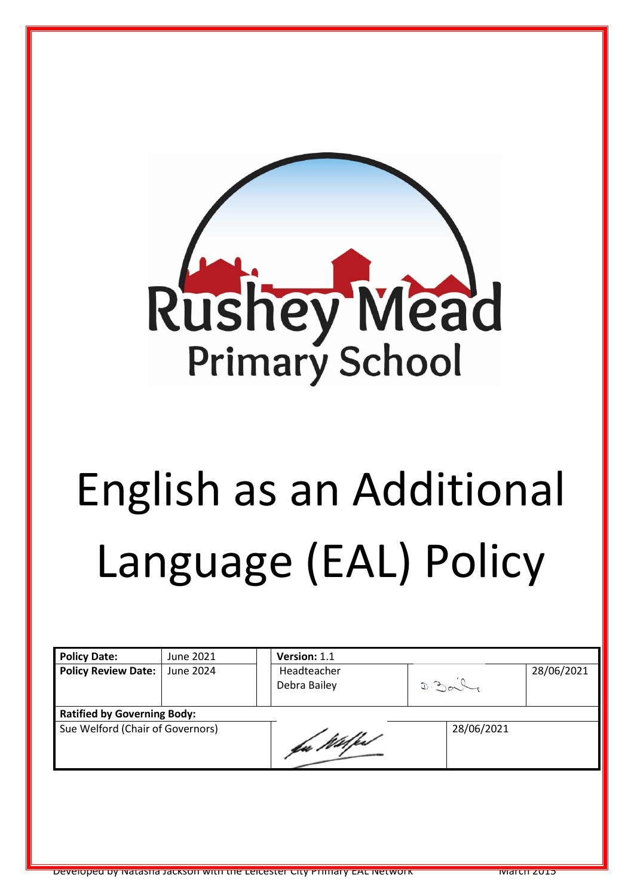

# English as an Additional Language (EAL) Policy

| <b>Policy Date:</b>                | June 2021 | Version: 1.1                |            |            |
|------------------------------------|-----------|-----------------------------|------------|------------|
| <b>Policy Review Date:</b>         | June 2024 | Headteacher<br>Debra Bailey | D.20       | 28/06/2021 |
| <b>Ratified by Governing Body:</b> |           |                             |            |            |
| Sue Welford (Chair of Governors)   |           | fu Wilfest                  | 28/06/2021 |            |
|                                    |           |                             |            |            |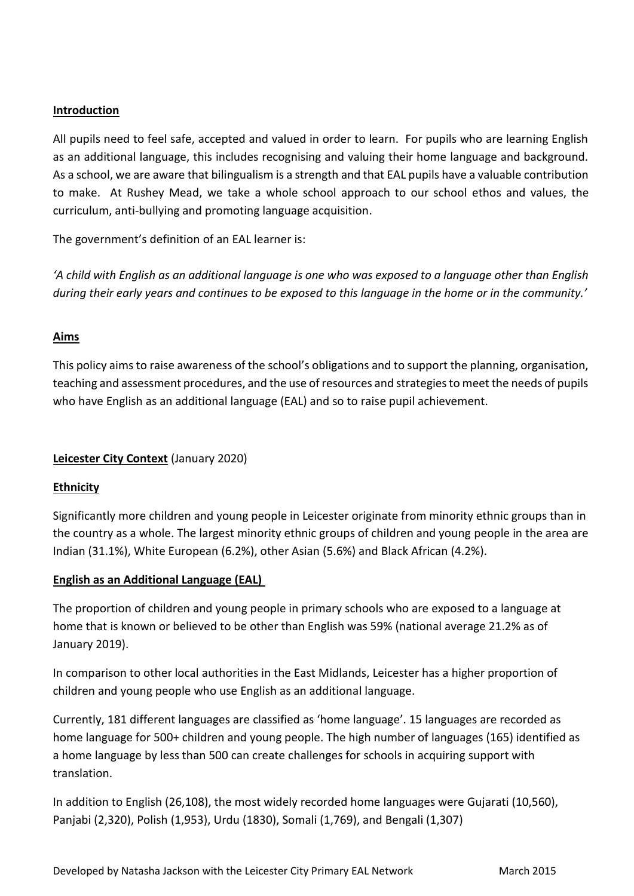### **Introduction**

All pupils need to feel safe, accepted and valued in order to learn. For pupils who are learning English as an additional language, this includes recognising and valuing their home language and background. As a school, we are aware that bilingualism is a strength and that EAL pupils have a valuable contribution to make. At Rushey Mead, we take a whole school approach to our school ethos and values, the curriculum, anti-bullying and promoting language acquisition.

The government's definition of an EAL learner is:

*'A child with English as an additional language is one who was exposed to a language other than English during their early years and continues to be exposed to this language in the home or in the community.'*

### **Aims**

This policy aims to raise awareness of the school's obligations and to support the planning, organisation, teaching and assessment procedures, and the use of resources and strategies to meet the needs of pupils who have English as an additional language (EAL) and so to raise pupil achievement.

# **Leicester City Context** (January 2020)

### **Ethnicity**

Significantly more children and young people in Leicester originate from minority ethnic groups than in the country as a whole. The largest minority ethnic groups of children and young people in the area are Indian (31.1%), White European (6.2%), other Asian (5.6%) and Black African (4.2%).

### **English as an Additional Language (EAL)**

The proportion of children and young people in primary schools who are exposed to a language at home that is known or believed to be other than English was 59% (national average 21.2% as of January 2019).

In comparison to other local authorities in the East Midlands, Leicester has a higher proportion of children and young people who use English as an additional language.

Currently, 181 different languages are classified as 'home language'. 15 languages are recorded as home language for 500+ children and young people. The high number of languages (165) identified as a home language by less than 500 can create challenges for schools in acquiring support with translation.

In addition to English (26,108), the most widely recorded home languages were Gujarati (10,560), Panjabi (2,320), Polish (1,953), Urdu (1830), Somali (1,769), and Bengali (1,307)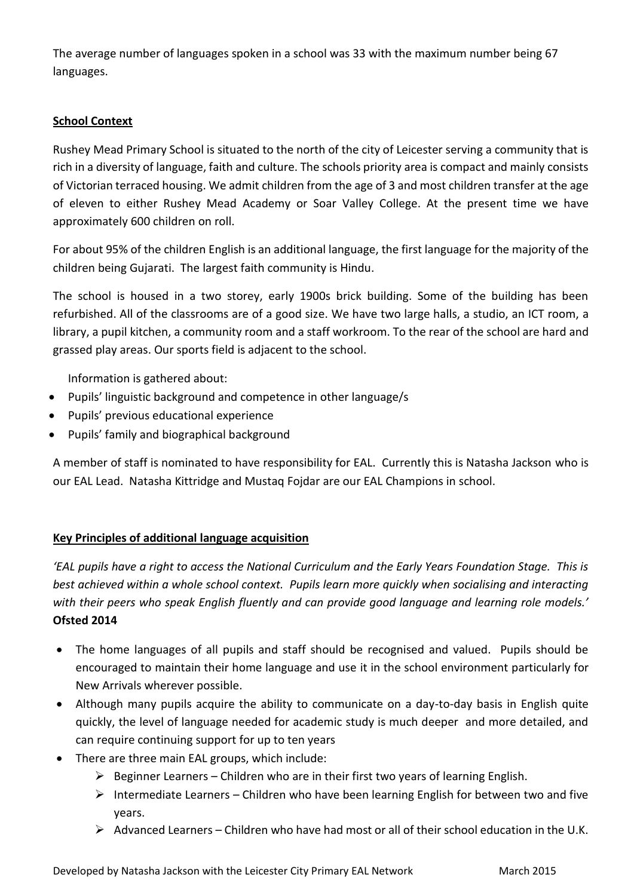The average number of languages spoken in a school was 33 with the maximum number being 67 languages.

# **School Context**

Rushey Mead Primary School is situated to the north of the city of Leicester serving a community that is rich in a diversity of language, faith and culture. The schools priority area is compact and mainly consists of Victorian terraced housing. We admit children from the age of 3 and most children transfer at the age of eleven to either Rushey Mead Academy or Soar Valley College. At the present time we have approximately 600 children on roll.

For about 95% of the children English is an additional language, the first language for the majority of the children being Gujarati. The largest faith community is Hindu.

The school is housed in a two storey, early 1900s brick building. Some of the building has been refurbished. All of the classrooms are of a good size. We have two large halls, a studio, an ICT room, a library, a pupil kitchen, a community room and a staff workroom. To the rear of the school are hard and grassed play areas. Our sports field is adjacent to the school.

Information is gathered about:

- Pupils' linguistic background and competence in other language/s
- Pupils' previous educational experience
- Pupils' family and biographical background

A member of staff is nominated to have responsibility for EAL. Currently this is Natasha Jackson who is our EAL Lead. Natasha Kittridge and Mustaq Fojdar are our EAL Champions in school.

# **Key Principles of additional language acquisition**

*'EAL pupils have a right to access the National Curriculum and the Early Years Foundation Stage. This is best achieved within a whole school context. Pupils learn more quickly when socialising and interacting with their peers who speak English fluently and can provide good language and learning role models.'*  **Ofsted 2014**

- The home languages of all pupils and staff should be recognised and valued. Pupils should be encouraged to maintain their home language and use it in the school environment particularly for New Arrivals wherever possible.
- Although many pupils acquire the ability to communicate on a day-to-day basis in English quite quickly, the level of language needed for academic study is much deeper and more detailed, and can require continuing support for up to ten years
- There are three main EAL groups, which include:
	- $\triangleright$  Beginner Learners Children who are in their first two years of learning English.
	- $\triangleright$  Intermediate Learners Children who have been learning English for between two and five years.
	- $\triangleright$  Advanced Learners Children who have had most or all of their school education in the U.K.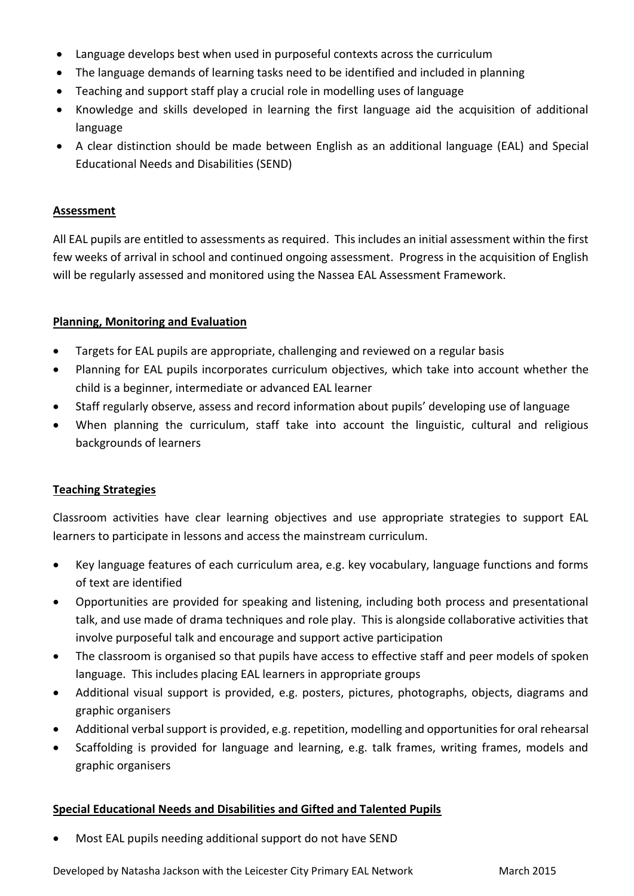- Language develops best when used in purposeful contexts across the curriculum
- The language demands of learning tasks need to be identified and included in planning
- Teaching and support staff play a crucial role in modelling uses of language
- Knowledge and skills developed in learning the first language aid the acquisition of additional language
- A clear distinction should be made between English as an additional language (EAL) and Special Educational Needs and Disabilities (SEND)

### **Assessment**

All EAL pupils are entitled to assessments as required. This includes an initial assessment within the first few weeks of arrival in school and continued ongoing assessment. Progress in the acquisition of English will be regularly assessed and monitored using the Nassea EAL Assessment Framework.

### **Planning, Monitoring and Evaluation**

- Targets for EAL pupils are appropriate, challenging and reviewed on a regular basis
- Planning for EAL pupils incorporates curriculum objectives, which take into account whether the child is a beginner, intermediate or advanced EAL learner
- Staff regularly observe, assess and record information about pupils' developing use of language
- When planning the curriculum, staff take into account the linguistic, cultural and religious backgrounds of learners

# **Teaching Strategies**

Classroom activities have clear learning objectives and use appropriate strategies to support EAL learners to participate in lessons and access the mainstream curriculum.

- Key language features of each curriculum area, e.g. key vocabulary, language functions and forms of text are identified
- Opportunities are provided for speaking and listening, including both process and presentational talk, and use made of drama techniques and role play. This is alongside collaborative activities that involve purposeful talk and encourage and support active participation
- The classroom is organised so that pupils have access to effective staff and peer models of spoken language. This includes placing EAL learners in appropriate groups
- Additional visual support is provided, e.g. posters, pictures, photographs, objects, diagrams and graphic organisers
- Additional verbal support is provided, e.g. repetition, modelling and opportunities for oral rehearsal
- Scaffolding is provided for language and learning, e.g. talk frames, writing frames, models and graphic organisers

# **Special Educational Needs and Disabilities and Gifted and Talented Pupils**

Most EAL pupils needing additional support do not have SEND

Developed by Natasha Jackson with the Leicester City Primary EAL Network Manch 2015